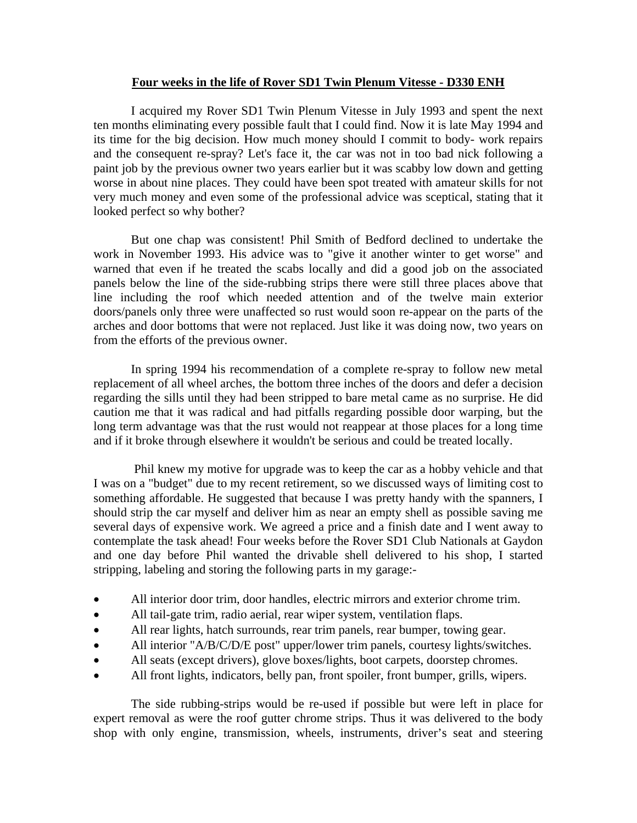## **Four weeks in the life of Rover SD1 Twin Plenum Vitesse - D330 ENH**

 I acquired my Rover SD1 Twin Plenum Vitesse in July 1993 and spent the next ten months eliminating every possible fault that I could find. Now it is late May 1994 and its time for the big decision. How much money should I commit to body- work repairs and the consequent re-spray? Let's face it, the car was not in too bad nick following a paint job by the previous owner two years earlier but it was scabby low down and getting worse in about nine places. They could have been spot treated with amateur skills for not very much money and even some of the professional advice was sceptical, stating that it looked perfect so why bother?

 But one chap was consistent! Phil Smith of Bedford declined to undertake the work in November 1993. His advice was to "give it another winter to get worse" and warned that even if he treated the scabs locally and did a good job on the associated panels below the line of the side-rubbing strips there were still three places above that line including the roof which needed attention and of the twelve main exterior doors/panels only three were unaffected so rust would soon re-appear on the parts of the arches and door bottoms that were not replaced. Just like it was doing now, two years on from the efforts of the previous owner.

In spring 1994 his recommendation of a complete re-spray to follow new metal replacement of all wheel arches, the bottom three inches of the doors and defer a decision regarding the sills until they had been stripped to bare metal came as no surprise. He did caution me that it was radical and had pitfalls regarding possible door warping, but the long term advantage was that the rust would not reappear at those places for a long time and if it broke through elsewhere it wouldn't be serious and could be treated locally.

 Phil knew my motive for upgrade was to keep the car as a hobby vehicle and that I was on a "budget" due to my recent retirement, so we discussed ways of limiting cost to something affordable. He suggested that because I was pretty handy with the spanners, I should strip the car myself and deliver him as near an empty shell as possible saving me several days of expensive work. We agreed a price and a finish date and I went away to contemplate the task ahead! Four weeks before the Rover SD1 Club Nationals at Gaydon and one day before Phil wanted the drivable shell delivered to his shop, I started stripping, labeling and storing the following parts in my garage:-

- All interior door trim, door handles, electric mirrors and exterior chrome trim.
- All tail-gate trim, radio aerial, rear wiper system, ventilation flaps.
- All rear lights, hatch surrounds, rear trim panels, rear bumper, towing gear.
- All interior "A/B/C/D/E post" upper/lower trim panels, courtesy lights/switches.
- All seats (except drivers), glove boxes/lights, boot carpets, doorstep chromes.
- All front lights, indicators, belly pan, front spoiler, front bumper, grills, wipers.

 The side rubbing-strips would be re-used if possible but were left in place for expert removal as were the roof gutter chrome strips. Thus it was delivered to the body shop with only engine, transmission, wheels, instruments, driver's seat and steering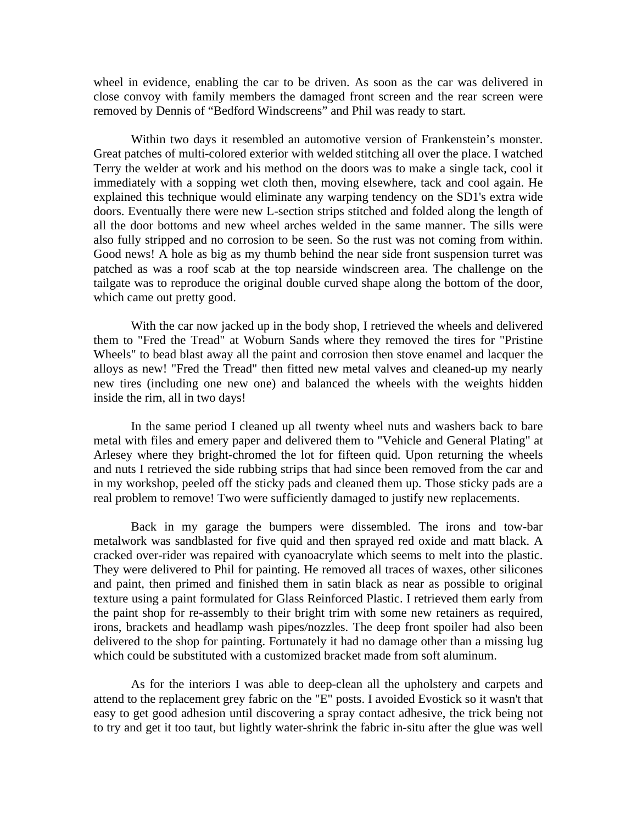wheel in evidence, enabling the car to be driven. As soon as the car was delivered in close convoy with family members the damaged front screen and the rear screen were removed by Dennis of "Bedford Windscreens" and Phil was ready to start.

 Within two days it resembled an automotive version of Frankenstein's monster. Great patches of multi-colored exterior with welded stitching all over the place. I watched Terry the welder at work and his method on the doors was to make a single tack, cool it immediately with a sopping wet cloth then, moving elsewhere, tack and cool again. He explained this technique would eliminate any warping tendency on the SD1's extra wide doors. Eventually there were new L-section strips stitched and folded along the length of all the door bottoms and new wheel arches welded in the same manner. The sills were also fully stripped and no corrosion to be seen. So the rust was not coming from within. Good news! A hole as big as my thumb behind the near side front suspension turret was patched as was a roof scab at the top nearside windscreen area. The challenge on the tailgate was to reproduce the original double curved shape along the bottom of the door, which came out pretty good.

With the car now jacked up in the body shop, I retrieved the wheels and delivered them to "Fred the Tread" at Woburn Sands where they removed the tires for "Pristine Wheels" to bead blast away all the paint and corrosion then stove enamel and lacquer the alloys as new! "Fred the Tread" then fitted new metal valves and cleaned-up my nearly new tires (including one new one) and balanced the wheels with the weights hidden inside the rim, all in two days!

In the same period I cleaned up all twenty wheel nuts and washers back to bare metal with files and emery paper and delivered them to "Vehicle and General Plating" at Arlesey where they bright-chromed the lot for fifteen quid. Upon returning the wheels and nuts I retrieved the side rubbing strips that had since been removed from the car and in my workshop, peeled off the sticky pads and cleaned them up. Those sticky pads are a real problem to remove! Two were sufficiently damaged to justify new replacements.

 Back in my garage the bumpers were dissembled. The irons and tow-bar metalwork was sandblasted for five quid and then sprayed red oxide and matt black. A cracked over-rider was repaired with cyanoacrylate which seems to melt into the plastic. They were delivered to Phil for painting. He removed all traces of waxes, other silicones and paint, then primed and finished them in satin black as near as possible to original texture using a paint formulated for Glass Reinforced Plastic. I retrieved them early from the paint shop for re-assembly to their bright trim with some new retainers as required, irons, brackets and headlamp wash pipes/nozzles. The deep front spoiler had also been delivered to the shop for painting. Fortunately it had no damage other than a missing lug which could be substituted with a customized bracket made from soft aluminum.

 As for the interiors I was able to deep-clean all the upholstery and carpets and attend to the replacement grey fabric on the "E" posts. I avoided Evostick so it wasn't that easy to get good adhesion until discovering a spray contact adhesive, the trick being not to try and get it too taut, but lightly water-shrink the fabric in-situ after the glue was well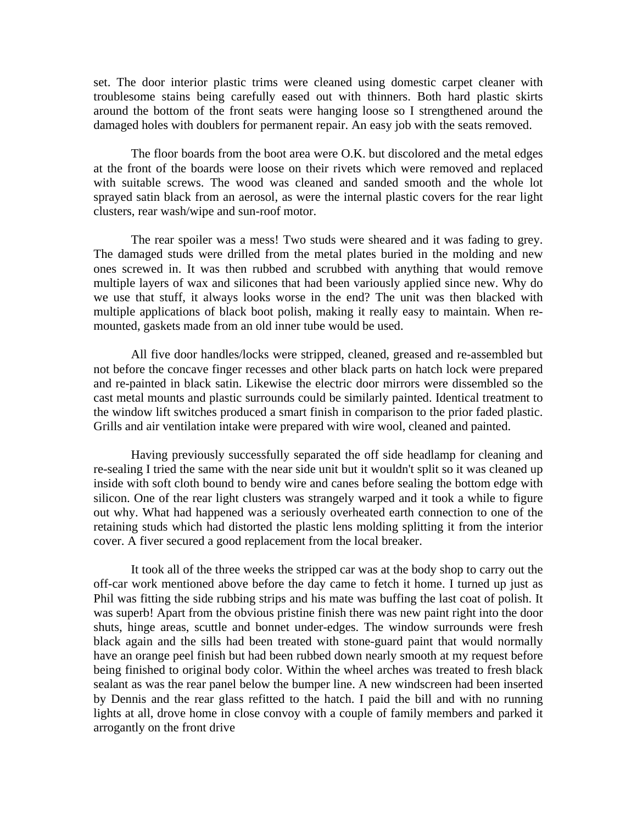set. The door interior plastic trims were cleaned using domestic carpet cleaner with troublesome stains being carefully eased out with thinners. Both hard plastic skirts around the bottom of the front seats were hanging loose so I strengthened around the damaged holes with doublers for permanent repair. An easy job with the seats removed.

 The floor boards from the boot area were O.K. but discolored and the metal edges at the front of the boards were loose on their rivets which were removed and replaced with suitable screws. The wood was cleaned and sanded smooth and the whole lot sprayed satin black from an aerosol, as were the internal plastic covers for the rear light clusters, rear wash/wipe and sun-roof motor.

 The rear spoiler was a mess! Two studs were sheared and it was fading to grey. The damaged studs were drilled from the metal plates buried in the molding and new ones screwed in. It was then rubbed and scrubbed with anything that would remove multiple layers of wax and silicones that had been variously applied since new. Why do we use that stuff, it always looks worse in the end? The unit was then blacked with multiple applications of black boot polish, making it really easy to maintain. When remounted, gaskets made from an old inner tube would be used.

 All five door handles/locks were stripped, cleaned, greased and re-assembled but not before the concave finger recesses and other black parts on hatch lock were prepared and re-painted in black satin. Likewise the electric door mirrors were dissembled so the cast metal mounts and plastic surrounds could be similarly painted. Identical treatment to the window lift switches produced a smart finish in comparison to the prior faded plastic. Grills and air ventilation intake were prepared with wire wool, cleaned and painted.

 Having previously successfully separated the off side headlamp for cleaning and re-sealing I tried the same with the near side unit but it wouldn't split so it was cleaned up inside with soft cloth bound to bendy wire and canes before sealing the bottom edge with silicon. One of the rear light clusters was strangely warped and it took a while to figure out why. What had happened was a seriously overheated earth connection to one of the retaining studs which had distorted the plastic lens molding splitting it from the interior cover. A fiver secured a good replacement from the local breaker.

 It took all of the three weeks the stripped car was at the body shop to carry out the off-car work mentioned above before the day came to fetch it home. I turned up just as Phil was fitting the side rubbing strips and his mate was buffing the last coat of polish. It was superb! Apart from the obvious pristine finish there was new paint right into the door shuts, hinge areas, scuttle and bonnet under-edges. The window surrounds were fresh black again and the sills had been treated with stone-guard paint that would normally have an orange peel finish but had been rubbed down nearly smooth at my request before being finished to original body color. Within the wheel arches was treated to fresh black sealant as was the rear panel below the bumper line. A new windscreen had been inserted by Dennis and the rear glass refitted to the hatch. I paid the bill and with no running lights at all, drove home in close convoy with a couple of family members and parked it arrogantly on the front drive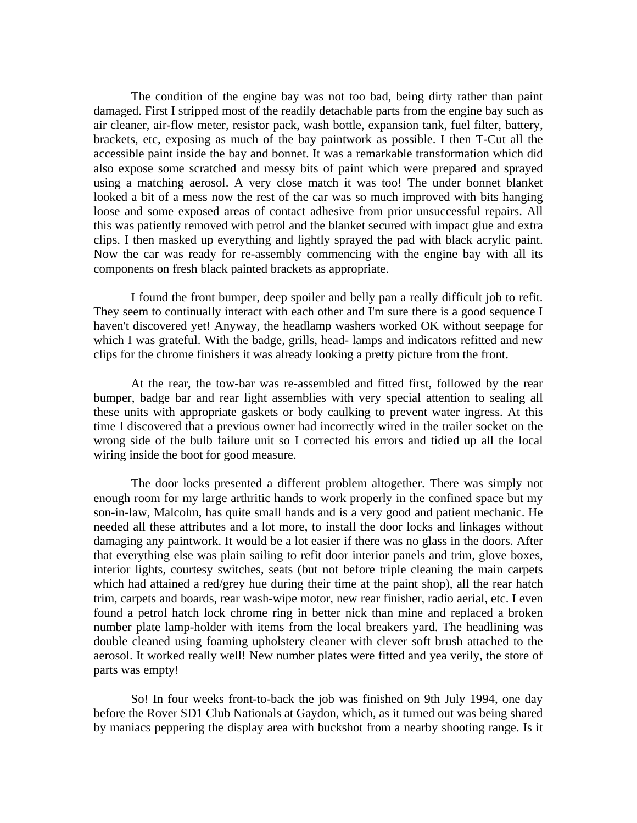The condition of the engine bay was not too bad, being dirty rather than paint damaged. First I stripped most of the readily detachable parts from the engine bay such as air cleaner, air-flow meter, resistor pack, wash bottle, expansion tank, fuel filter, battery, brackets, etc, exposing as much of the bay paintwork as possible. I then T-Cut all the accessible paint inside the bay and bonnet. It was a remarkable transformation which did also expose some scratched and messy bits of paint which were prepared and sprayed using a matching aerosol. A very close match it was too! The under bonnet blanket looked a bit of a mess now the rest of the car was so much improved with bits hanging loose and some exposed areas of contact adhesive from prior unsuccessful repairs. All this was patiently removed with petrol and the blanket secured with impact glue and extra clips. I then masked up everything and lightly sprayed the pad with black acrylic paint. Now the car was ready for re-assembly commencing with the engine bay with all its components on fresh black painted brackets as appropriate.

 I found the front bumper, deep spoiler and belly pan a really difficult job to refit. They seem to continually interact with each other and I'm sure there is a good sequence I haven't discovered yet! Anyway, the headlamp washers worked OK without seepage for which I was grateful. With the badge, grills, head- lamps and indicators refitted and new clips for the chrome finishers it was already looking a pretty picture from the front.

 At the rear, the tow-bar was re-assembled and fitted first, followed by the rear bumper, badge bar and rear light assemblies with very special attention to sealing all these units with appropriate gaskets or body caulking to prevent water ingress. At this time I discovered that a previous owner had incorrectly wired in the trailer socket on the wrong side of the bulb failure unit so I corrected his errors and tidied up all the local wiring inside the boot for good measure.

 The door locks presented a different problem altogether. There was simply not enough room for my large arthritic hands to work properly in the confined space but my son-in-law, Malcolm, has quite small hands and is a very good and patient mechanic. He needed all these attributes and a lot more, to install the door locks and linkages without damaging any paintwork. It would be a lot easier if there was no glass in the doors. After that everything else was plain sailing to refit door interior panels and trim, glove boxes, interior lights, courtesy switches, seats (but not before triple cleaning the main carpets which had attained a red/grey hue during their time at the paint shop), all the rear hatch trim, carpets and boards, rear wash-wipe motor, new rear finisher, radio aerial, etc. I even found a petrol hatch lock chrome ring in better nick than mine and replaced a broken number plate lamp-holder with items from the local breakers yard. The headlining was double cleaned using foaming upholstery cleaner with clever soft brush attached to the aerosol. It worked really well! New number plates were fitted and yea verily, the store of parts was empty!

 So! In four weeks front-to-back the job was finished on 9th July 1994, one day before the Rover SD1 Club Nationals at Gaydon, which, as it turned out was being shared by maniacs peppering the display area with buckshot from a nearby shooting range. Is it